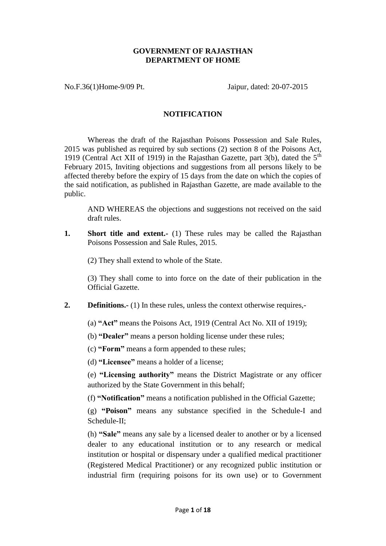## **GOVERNMENT OF RAJASTHAN DEPARTMENT OF HOME**

No.F.36(1)Home-9/09 Pt. Jaipur, dated: 20-07-2015

# **NOTIFICATION**

Whereas the draft of the Rajasthan Poisons Possession and Sale Rules, 2015 was published as required by sub sections (2) section 8 of the Poisons Act, 1919 (Central Act XII of 1919) in the Rajasthan Gazette, part  $3(b)$ , dated the  $5<sup>th</sup>$ February 2015, Inviting objections and suggestions from all persons likely to be affected thereby before the expiry of 15 days from the date on which the copies of the said notification, as published in Rajasthan Gazette, are made available to the public.

AND WHEREAS the objections and suggestions not received on the said draft rules.

**1.** Short title and extent.- (1) These rules may be called the Rajasthan Poisons Possession and Sale Rules, 2015.

(2) They shall extend to whole of the State.

(3) They shall come to into force on the date of their publication in the Official Gazette.

**2. Definitions.**- (1) In these rules, unless the context otherwise requires,-

(a) **"Act"** means the Poisons Act, 1919 (Central Act No. XII of 1919);

(b) **"Dealer"** means a person holding license under these rules;

(c) **"Form"** means a form appended to these rules;

(d) **"Licensee"** means a holder of a license;

(e) **"Licensing authority"** means the District Magistrate or any officer authorized by the State Government in this behalf;

(f) **"Notification"** means a notification published in the Official Gazette;

(g) **"Poison"** means any substance specified in the Schedule-I and Schedule-II;

(h) **"Sale"** means any sale by a licensed dealer to another or by a licensed dealer to any educational institution or to any research or medical institution or hospital or dispensary under a qualified medical practitioner (Registered Medical Practitioner) or any recognized public institution or industrial firm (requiring poisons for its own use) or to Government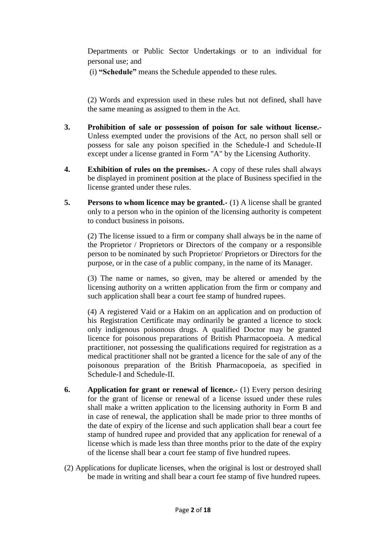Departments or Public Sector Undertakings or to an individual for personal use; and

(i) **"Schedule"** means the Schedule appended to these rules.

(2) Words and expression used in these rules but not defined, shall have the same meaning as assigned to them in the Act.

- **3. Prohibition of sale or possession of poison for sale without license.-** Unless exempted under the provisions of the Act, no person shall sell or possess for sale any poison specified in the Schedule-I and Schedule-II except under a license granted in Form "A" by the Licensing Authority.
- **4. Exhibition of rules on the premises.-** A copy of these rules shall always be displayed in prominent position at the place of Business specified in the license granted under these rules.
- **5. Persons to whom licence may be granted.-** (1) A license shall be granted only to a person who in the opinion of the licensing authority is competent to conduct business in poisons.

(2) The license issued to a firm or company shall always be in the name of the Proprietor / Proprietors or Directors of the company or a responsible person to be nominated by such Proprietor/ Proprietors or Directors for the purpose, or in the case of a public company, in the name of its Manager.

(3) The name or names, so given, may be altered or amended by the licensing authority on a written application from the firm or company and such application shall bear a court fee stamp of hundred rupees.

(4) A registered Vaid or a Hakim on an application and on production of his Registration Certificate may ordinarily be granted a licence to stock only indigenous poisonous drugs. A qualified Doctor may be granted licence for poisonous preparations of British Pharmacopoeia. A medical practitioner, not possessing the qualifications required for registration as a medical practitioner shall not be granted a licence for the sale of any of the poisonous preparation of the British Pharmacopoeia, as specified in Schedule-I and Schedule-II.

- **6. Application for grant or renewal of licence.-** (1) Every person desiring for the grant of license or renewal of a license issued under these rules shall make a written application to the licensing authority in Form B and in case of renewal, the application shall be made prior to three months of the date of expiry of the license and such application shall bear a court fee stamp of hundred rupee and provided that any application for renewal of a license which is made less than three months prior to the date of the expiry of the license shall bear a court fee stamp of five hundred rupees.
- (2) Applications for duplicate licenses, when the original is lost or destroyed shall be made in writing and shall bear a court fee stamp of five hundred rupees.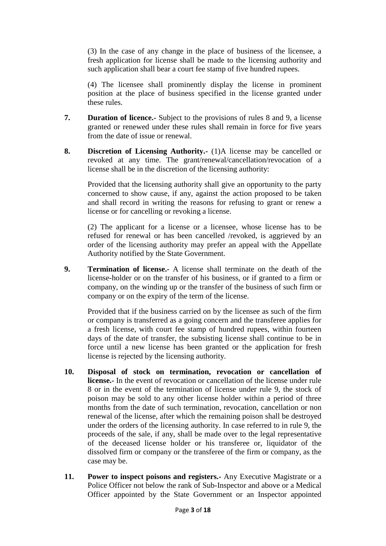(3) In the case of any change in the place of business of the licensee, a fresh application for license shall be made to the licensing authority and such application shall bear a court fee stamp of five hundred rupees.

(4) The licensee shall prominently display the license in prominent position at the place of business specified in the license granted under these rules.

- **7. Duration of licence.-** Subject to the provisions of rules 8 and 9, a license granted or renewed under these rules shall remain in force for five years from the date of issue or renewal.
- **8. Discretion of Licensing Authority.-** (1)A license may be cancelled or revoked at any time. The grant/renewal/cancellation/revocation of a license shall be in the discretion of the licensing authority:

Provided that the licensing authority shall give an opportunity to the party concerned to show cause, if any, against the action proposed to be taken and shall record in writing the reasons for refusing to grant or renew a license or for cancelling or revoking a license.

(2) The applicant for a license or a licensee, whose license has to be refused for renewal or has been cancelled /revoked, is aggrieved by an order of the licensing authority may prefer an appeal with the Appellate Authority notified by the State Government.

**9. Termination of license.-** A license shall terminate on the death of the license-holder or on the transfer of his business, or if granted to a firm or company, on the winding up or the transfer of the business of such firm or company or on the expiry of the term of the license.

Provided that if the business carried on by the licensee as such of the firm or company is transferred as a going concern and the transferee applies for a fresh license, with court fee stamp of hundred rupees, within fourteen days of the date of transfer, the subsisting license shall continue to be in force until a new license has been granted or the application for fresh license is rejected by the licensing authority.

- **10. Disposal of stock on termination, revocation or cancellation of license.-** In the event of revocation or cancellation of the license under rule 8 or in the event of the termination of license under rule 9, the stock of poison may be sold to any other license holder within a period of three months from the date of such termination, revocation, cancellation or non renewal of the license, after which the remaining poison shall be destroyed under the orders of the licensing authority. In case referred to in rule 9, the proceeds of the sale, if any, shall be made over to the legal representative of the deceased license holder or his transferee or, liquidator of the dissolved firm or company or the transferee of the firm or company, as the case may be.
- **11. Power to inspect poisons and registers.-** Any Executive Magistrate or a Police Officer not below the rank of Sub-Inspector and above or a Medical Officer appointed by the State Government or an Inspector appointed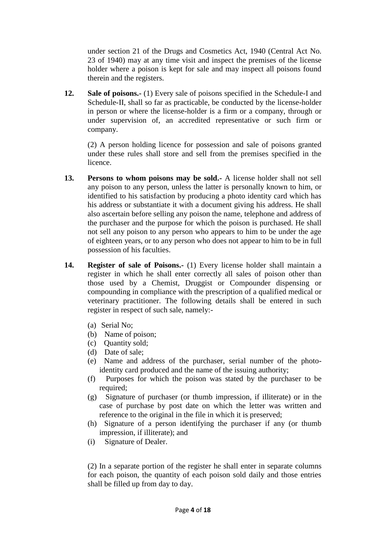under section 21 of the Drugs and Cosmetics Act, 1940 (Central Act No. 23 of 1940) may at any time visit and inspect the premises of the license holder where a poison is kept for sale and may inspect all poisons found therein and the registers.

**12. Sale of poisons.-** (1) Every sale of poisons specified in the Schedule-I and Schedule-II, shall so far as practicable, be conducted by the license-holder in person or where the license-holder is a firm or a company, through or under supervision of, an accredited representative or such firm or company.

(2) A person holding licence for possession and sale of poisons granted under these rules shall store and sell from the premises specified in the licence.

- **13. Persons to whom poisons may be sold.-** A license holder shall not sell any poison to any person, unless the latter is personally known to him, or identified to his satisfaction by producing a photo identity card which has his address or substantiate it with a document giving his address. He shall also ascertain before selling any poison the name, telephone and address of the purchaser and the purpose for which the poison is purchased. He shall not sell any poison to any person who appears to him to be under the age of eighteen years, or to any person who does not appear to him to be in full possession of his faculties.
- **14. Register of sale of Poisons.-** (1) Every license holder shall maintain a register in which he shall enter correctly all sales of poison other than those used by a Chemist, Druggist or Compounder dispensing or compounding in compliance with the prescription of a qualified medical or veterinary practitioner. The following details shall be entered in such register in respect of such sale, namely:-
	- (a) Serial No;
	- (b) Name of poison;
	- (c) Quantity sold;
	- (d) Date of sale;
	- (e) Name and address of the purchaser, serial number of the photoidentity card produced and the name of the issuing authority;
	- (f) Purposes for which the poison was stated by the purchaser to be required:
	- (g) Signature of purchaser (or thumb impression, if illiterate) or in the case of purchase by post date on which the letter was written and reference to the original in the file in which it is preserved;
	- (h) Signature of a person identifying the purchaser if any (or thumb impression, if illiterate); and
	- (i) Signature of Dealer.

(2) In a separate portion of the register he shall enter in separate columns for each poison, the quantity of each poison sold daily and those entries shall be filled up from day to day.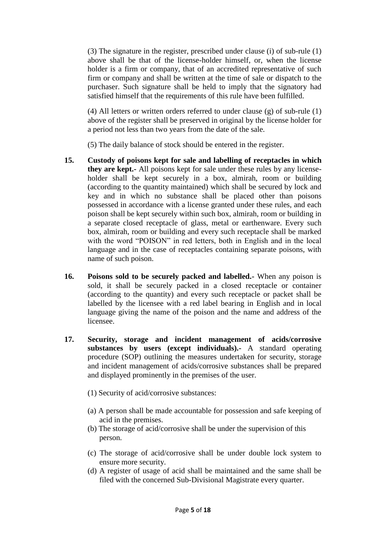(3) The signature in the register, prescribed under clause (i) of sub-rule (1) above shall be that of the license-holder himself, or, when the license holder is a firm or company, that of an accredited representative of such firm or company and shall be written at the time of sale or dispatch to the purchaser. Such signature shall be held to imply that the signatory had satisfied himself that the requirements of this rule have been fulfilled.

(4) All letters or written orders referred to under clause (g) of sub-rule (1) above of the register shall be preserved in original by the license holder for a period not less than two years from the date of the sale.

(5) The daily balance of stock should be entered in the register.

- **15. Custody of poisons kept for sale and labelling of receptacles in which they are kept.-** All poisons kept for sale under these rules by any licenseholder shall be kept securely in a box, almirah, room or building (according to the quantity maintained) which shall be secured by lock and key and in which no substance shall be placed other than poisons possessed in accordance with a license granted under these rules, and each poison shall be kept securely within such box, almirah, room or building in a separate closed receptacle of glass, metal or earthenware. Every such box, almirah, room or building and every such receptacle shall be marked with the word "POISON" in red letters, both in English and in the local language and in the case of receptacles containing separate poisons, with name of such poison.
- **16. Poisons sold to be securely packed and labelled.-** When any poison is sold, it shall be securely packed in a closed receptacle or container (according to the quantity) and every such receptacle or packet shall be labelled by the licensee with a red label bearing in English and in local language giving the name of the poison and the name and address of the licensee.
- **17. Security, storage and incident management of acids/corrosive substances by users (except individuals).-** A standard operating procedure (SOP) outlining the measures undertaken for security, storage and incident management of acids/corrosive substances shall be prepared and displayed prominently in the premises of the user.
	- (1) Security of acid/corrosive substances:
	- (a) A person shall be made accountable for possession and safe keeping of acid in the premises.
	- (b) The storage of acid/corrosive shall be under the supervision of this person.
	- (c) The storage of acid/corrosive shall be under double lock system to ensure more security.
	- (d) A register of usage of acid shall be maintained and the same shall be filed with the concerned Sub-Divisional Magistrate every quarter.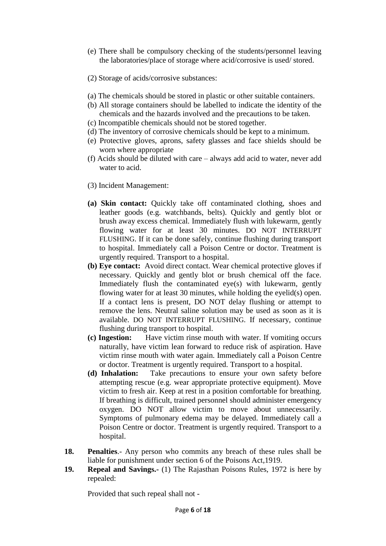- (e) There shall be compulsory checking of the students/personnel leaving the laboratories/place of storage where acid/corrosive is used/ stored.
- (2) Storage of acids/corrosive substances:
- (a) The chemicals should be stored in plastic or other suitable containers.
- (b) All storage containers should be labelled to indicate the identity of the chemicals and the hazards involved and the precautions to be taken.
- (c) Incompatible chemicals should not be stored together.
- (d) The inventory of corrosive chemicals should be kept to a minimum.
- (e) Protective gloves, aprons, safety glasses and face shields should be worn where appropriate
- (f) Acids should be diluted with care always add acid to water, never add water to acid.
- (3) Incident Management:
- **(a) Skin contact:** Quickly take off contaminated clothing, shoes and leather goods (e.g. watchbands, belts). Quickly and gently blot or brush away excess chemical. Immediately flush with lukewarm, gently flowing water for at least 30 minutes. DO NOT INTERRUPT FLUSHING. If it can be done safely, continue flushing during transport to hospital. Immediately call a Poison Centre or doctor. Treatment is urgently required. Transport to a hospital.
- **(b) Eye contact:** Avoid direct contact. Wear chemical protective gloves if necessary. Quickly and gently blot or brush chemical off the face. Immediately flush the contaminated eye(s) with lukewarm, gently flowing water for at least 30 minutes, while holding the eyelid(s) open. If a contact lens is present, DO NOT delay flushing or attempt to remove the lens. Neutral saline solution may be used as soon as it is available. DO NOT INTERRUPT FLUSHING. If necessary, continue flushing during transport to hospital.
- **(c) Ingestion:** Have victim rinse mouth with water. If vomiting occurs naturally, have victim lean forward to reduce risk of aspiration. Have victim rinse mouth with water again. Immediately call a Poison Centre or doctor. Treatment is urgently required. Transport to a hospital.
- **(d) Inhalation:** Take precautions to ensure your own safety before attempting rescue (e.g. wear appropriate protective equipment). Move victim to fresh air. Keep at rest in a position comfortable for breathing. If breathing is difficult, trained personnel should administer emergency oxygen. DO NOT allow victim to move about unnecessarily. Symptoms of pulmonary edema may be delayed. Immediately call a Poison Centre or doctor. Treatment is urgently required. Transport to a hospital.
- **18. Penalties**.- Any person who commits any breach of these rules shall be liable for punishment under section 6 of the Poisons Act,1919.
- **19. Repeal and Savings.-** (1) The Rajasthan Poisons Rules, 1972 is here by repealed:

Provided that such repeal shall not -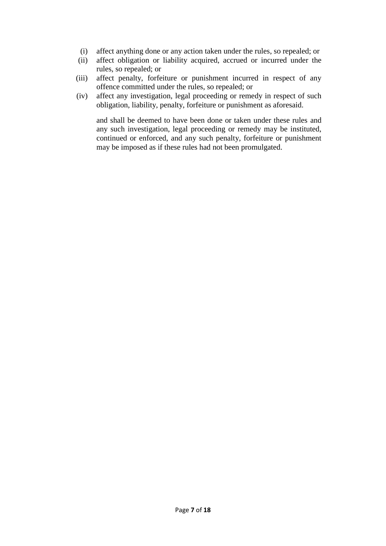- (i) affect anything done or any action taken under the rules, so repealed; or
- (ii) affect obligation or liability acquired, accrued or incurred under the rules, so repealed; or
- (iii) affect penalty, forfeiture or punishment incurred in respect of any offence committed under the rules, so repealed; or
- (iv) affect any investigation, legal proceeding or remedy in respect of such obligation, liability, penalty, forfeiture or punishment as aforesaid.

and shall be deemed to have been done or taken under these rules and any such investigation, legal proceeding or remedy may be instituted, continued or enforced, and any such penalty, forfeiture or punishment may be imposed as if these rules had not been promulgated.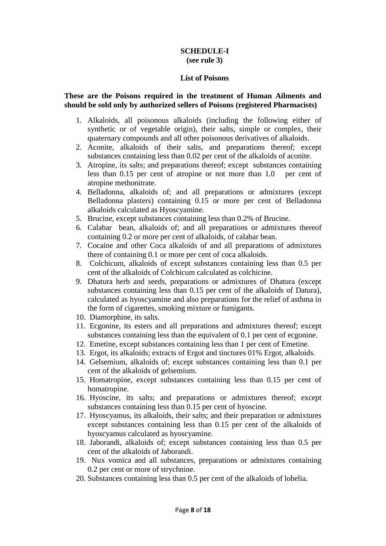## **SCHEDULE-I (see rule 3)**

#### **List of Poisons**

#### **These are the Poisons required in the treatment of Human Ailments and should be sold only by authorized sellers of Poisons (registered Pharmacists)**

- 1. Alkaloids, all poisonous alkaloids (including the following either of synthetic or of vegetable origin), their salts, simple or complex, their quaternary compounds and all other poisonous derivatives of alkaloids.
- 2. Aconite, alkaloids of their salts, and preparations thereof; except substances containing less than 0.02 per cent of the alkaloids of aconite.
- 3. Atropine, its salts; and preparations thereof; except substances containing less than 0.15 per cent of atropine or not more than 1.0 per cent of atropine methonitrate.
- 4. Belladonna, alkaloids of; and all preparations or admixtures (except Belladonna plasters) containing 0.15 or more per cent of Belladonna alkaloids calculated as Hyoscyamine.
- 5. Brucine, except substances containing less than 0.2% of Brucine.
- 6. Calabar bean, alkaloids of; and all preparations or admixtures thereof containing 0.2 or more per cent of alkaloids, of calabar bean.
- 7. Cocaine and other Coca alkaloids of and all preparations of admixtures there of containing 0.1 or more per cent of coca alkaloids.
- 8. Colchicum, alkaloids of except substances containing less than 0.5 per cent of the alkaloids of Colchicum calculated as colchicine.
- 9. Dhatura herb and seeds, preparations or admixtures of Dhatura (except substances containing less than 0.15 per cent of the alkaloids of Datura), calculated as hyoscyamine and also preparations for the relief of asthma in the form of cigarettes, smoking mixture or fumigants.
- 10. Diamorphine, its salts.
- 11. Ecgonine, its esters and all preparations and admixtures thereof; except substances containing less than the equivalent of 0.1 per cent of ecgonine.
- 12. Emetine, except substances containing less than 1 per cent of Emetine.
- 13. Ergot, its alkaloids; extracts of Ergot and tinctures 01% Ergot, alkaloids.
- 14. Gelsemium, alkaloids of; except substances containing less than 0.1 per cent of the alkaloids of gelsemium.
- 15. Homatropine, except substances containing less than 0.15 per cent of homatropine.
- 16. Hyoscine, its salts; and preparations or admixtures thereof; except substances containing less than 0.15 per cent of hyoscine.
- 17. Hyoscyamus, its alkaloids, their salts; and their preparation or admixtures except substances containing less than 0.15 per cent of the alkaloids of hyoscyamus calculated as hyoscyamine.
- 18. Jaborandi, alkaloids of; except substances containing less than 0.5 per cent of the alkaloids of Jaborandi.
- 19. Nux vomica and all substances, preparations or admixtures containing 0.2 per cent or more of strychnine.
- 20. Substances containing less than 0.5 per cent of the alkaloids of lobelia.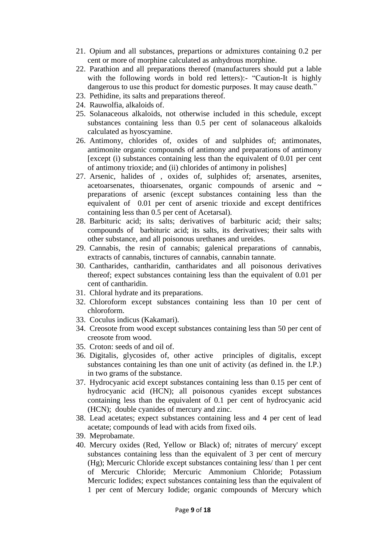- 21. Opium and all substances, prepartions or admixtures containing 0.2 per cent or more of morphine calculated as anhydrous morphine.
- 22. Parathion and all preparations thereof (manufacturers should put a lable with the following words in bold red letters):- "Caution-It is highly dangerous to use this product for domestic purposes. It may cause death."
- 23. Pethidine, its salts and preparations thereof.
- 24. Rauwolfia, alkaloids of.
- 25. Solanaceous alkaloids, not otherwise included in this schedule, except substances containing less than 0.5 per cent of solanaceous alkaloids calculated as hyoscyamine.
- 26. Antimony, chlorides of, oxides of and sulphides of; antimonates, antimonite organic compounds of antimony and preparations of antimony [except (i) substances containing less than the equivalent of 0.01 per cent of antimony trioxide; and (ii) chlorides of antimony in polishes]
- 27. Arsenic, halides of , oxides of, sulphides of; arsenates, arsenites, acetoarsenates, thioarsenates, organic compounds of arsenic and **~**  preparations of arsenic (except substances containing less than the equivalent of 0.01 per cent of arsenic trioxide and except dentifrices containing less than 0.5 per cent of Acetarsal).
- 28. Barbituric acid; its salts; derivatives of barbituric acid; their salts; compounds of barbituric acid; its salts, its derivatives; their salts with other substance, and all poisonous urethanes and ureides.
- 29. Cannabis, the resin of cannabis; galenical preparations of cannabis, extracts of cannabis, tinctures of cannabis, cannabin tannate.
- 30. Cantharides, cantharidin, cantharidates and all poisonous derivatives thereof; expect substances containing less than the equivalent of 0.01 per cent of cantharidin.
- 31. Chloral hydrate and its preparations.
- 32. Chloroform except substances containing less than 10 per cent of chloroform.
- 33. Coculus indicus (Kakamari).
- 34. Creosote from wood except substances containing less than 50 per cent of creosote from wood.
- 35. Croton: seeds of and oil of.
- 36. Digitalis, glycosides of, other active principles of digitalis, except substances containing les than one unit of activity (as defined in. the I.P.) in two grams of the substance.
- 37. Hydrocyanic acid except substances containing less than 0.15 per cent of hydrocyanic acid (HCN); all poisonous cyanides except substances containing less than the equivalent of 0.1 per cent of hydrocyanic acid (HCN); double cyanides of mercury and zinc.
- 38. Lead acetates; expect substances containing less and 4 per cent of lead acetate; compounds of lead with acids from fixed oils.
- 39. Meprobamate.
- 40. Mercury oxides (Red, Yellow or Black) of; nitrates of mercury' except substances containing less than the equivalent of 3 per cent of mercury (Hg); Mercuric Chloride except substances containing less/ than 1 per cent of Mercuric Chloride; Mercuric Ammonium Chloride; Potassium Mercuric Iodides; expect substances containing less than the equivalent of 1 per cent of Mercury Iodide; organic compounds of Mercury which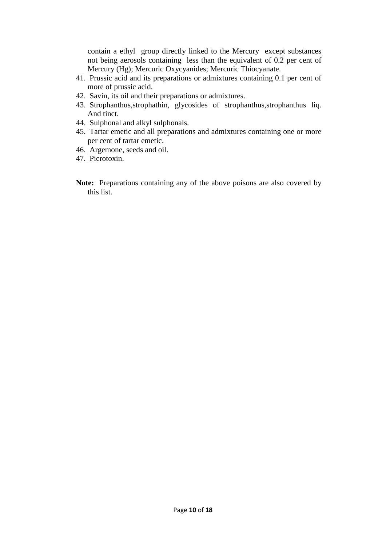contain a ethyl group directly linked to the Mercury except substances not being aerosols containing less than the equivalent of 0.2 per cent of Mercury (Hg); Mercuric Oxycyanides; Mercuric Thiocyanate.

- 41. Prussic acid and its preparations or admixtures containing 0.1 per cent of more of prussic acid.
- 42. Savin, its oil and their preparations or admixtures.
- 43. Strophanthus,strophathin, glycosides of strophanthus,strophanthus liq. And tinct.
- 44. Sulphonal and alkyl sulphonals.
- 45. Tartar emetic and all preparations and admixtures containing one or more per cent of tartar emetic.
- 46. Argemone, seeds and oil.
- 47. Picrotoxin.
- **Note:** Preparations containing any of the above poisons are also covered by this list.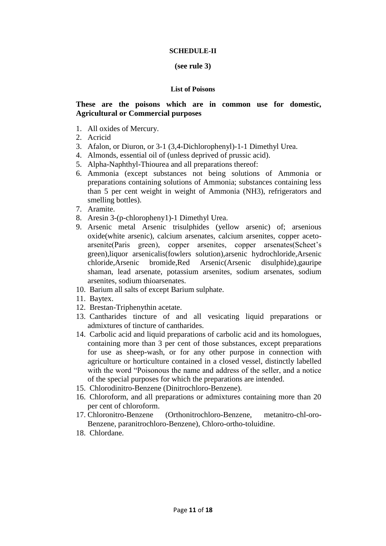#### **SCHEDULE-II**

#### **(see rule 3)**

#### **List of Poisons**

## **These are the poisons which are in common use for domestic, Agricultural or Commercial purposes**

- 1. All oxides of Mercury.
- 2. Acricid
- 3. Afalon, or Diuron, or 3-1 (3,4-Dichlorophenyl)-1-1 Dimethyl Urea.
- 4. Almonds, essential oil of (unless deprived of prussic acid).
- 5. Alpha-Naphthyl-Thiourea and all preparations thereof:
- 6. Ammonia (except substances not being solutions of Ammonia or preparations containing solutions of Ammonia; substances containing less than 5 per cent weight in weight of Ammonia (NH3), refrigerators and smelling bottles).
- 7. Aramite.
- 8. Aresin 3-(p-chloropheny1)-1 Dimethyl Urea.
- 9. Arsenic metal Arsenic trisulphides (yellow arsenic) of; arsenious oxide(white arsenic), calcium arsenates, calcium arsenites, copper acetoarsenite(Paris green), copper arsenites, copper arsenates(Scheet"s green),liquor arsenicalis(fowlers solution),arsenic hydrochloride,Arsenic chloride,Arsenic bromide,Red Arsenic(Arsenic disulphide),gauripe shaman, lead arsenate, potassium arsenites, sodium arsenates, sodium arsenites, sodium thioarsenates.
- 10. Barium all salts of except Barium sulphate.
- 11. Baytex.
- 12. Brestan-Triphenythin acetate.
- 13. Cantharides tincture of and all vesicating liquid preparations or admixtures of tincture of cantharides.
- 14. Carbolic acid and liquid preparations of carbolic acid and its homologues, containing more than 3 per cent of those substances, except preparations for use as sheep-wash, or for any other purpose in connection with agriculture or horticulture contained in a closed vessel, distinctly labelled with the word "Poisonous the name and address of the seller, and a notice of the special purposes for which the preparations are intended.
- 15. Chlorodinitro-Benzene (Dinitrochloro-Benzene).
- 16. Chloroform, and all preparations or admixtures containing more than 20 per cent of chloroform.
- 17. Chloronitro-Benzene (Orthonitrochloro-Benzene, metanitro-chl-oro-Benzene, paranitrochloro-Benzene), Chloro-ortho-toluidine.
- 18. Chlordane.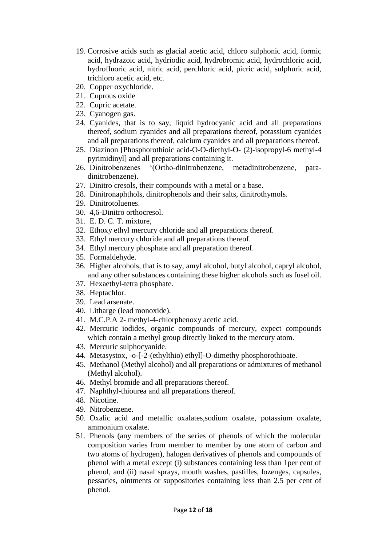- 19. Corrosive acids such as glacial acetic acid, chloro sulphonic acid, formic acid, hydrazoic acid, hydriodic acid, hydrobromic acid, hydrochloric acid, hydrofluoric acid, nitric acid, perchloric acid, picric acid, sulphuric acid, trichloro acetic acid, etc.
- 20. Copper oxychloride.
- 21. Cuprous oxide
- 22. Cupric acetate.
- 23. Cyanogen gas.
- 24. Cyanides, that is to say, liquid hydrocyanic acid and all preparations thereof, sodium cyanides and all preparations thereof, potassium cyanides and all preparations thereof, calcium cyanides and all preparations thereof.
- 25. Diazinon [Phosphorothioic acid-O-O-diethyl-O- (2)-isopropyl-6 methyl-4 pyrimidinyl] and all preparations containing it.
- 26. Dinitrobenzenes "(Ortho-dinitrobenzene, metadinitrobenzene, paradinitrobenzene).
- 27. Dinitro cresols, their compounds with a metal or a base.
- 28. Dinitronaphthols, dinitrophenols and their salts, dinitrothymols.
- 29. Dinitrotoluenes.
- 30. 4,6-Dinitro orthocresol.
- 31. E. D. C. T. mixture,
- 32. Ethoxy ethyl mercury chloride and all preparations thereof.
- 33. Ethyl mercury chloride and all preparations thereof.
- 34. Ethyl mercury phosphate and all preparation thereof.
- 35. Formaldehyde.
- 36. Higher alcohols, that is to say, amyl alcohol, butyl alcohol, capryl alcohol, and any other substances containing these higher alcohols such as fusel oil.
- 37. Hexaethyl-tetra phosphate.
- 38. Heptachlor.
- 39. Lead arsenate.
- 40. Litharge (lead monoxide).
- 41. M.C.P.A 2- methyl-4-chlorphenoxy acetic acid.
- 42. Mercuric iodides, organic compounds of mercury, expect compounds which contain a methyl group directly linked to the mercury atom.
- 43. Mercuric sulphocyanide.
- 44. Metasystox, -o-[-2-(ethylthio) ethyl]-O-dimethy phosphorothioate.
- 45. Methanol (Methyl alcohol) and all preparations or admixtures of methanol (Methyl alcohol).
- 46. Methyl bromide and all preparations thereof.
- 47. Naphthyl-thiourea and all preparations thereof.
- 48. Nicotine.
- 49. Nitrobenzene.
- 50. Oxalic acid and metallic oxalates,sodium oxalate, potassium oxalate, ammonium oxalate.
- 51. Phenols (any members of the series of phenols of which the molecular composition varies from member to member by one atom of carbon and two atoms of hydrogen), halogen derivatives of phenols and compounds of phenol with a metal except (i) substances containing less than 1per cent of phenol, and (ii) nasal sprays, mouth washes, pastilles, lozenges, capsules, pessaries, ointments or suppositories containing less than 2.5 per cent of phenol.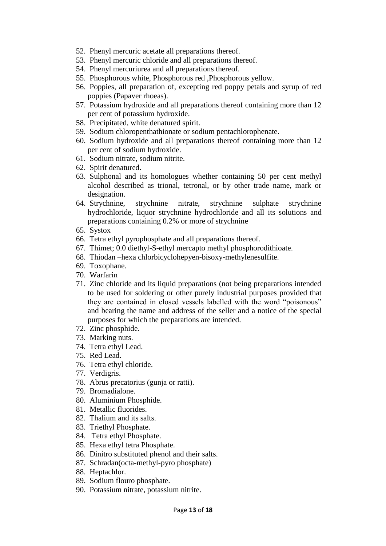- 52. Phenyl mercuric acetate all preparations thereof.
- 53. Phenyl mercuric chloride and all preparations thereof.
- 54. Phenyl mercuriurea and all preparations thereof.
- 55. Phosphorous white, Phosphorous red ,Phosphorous yellow.
- 56. Poppies, all preparation of, excepting red poppy petals and syrup of red poppies (Papaver rhoeas).
- 57. Potassium hydroxide and all preparations thereof containing more than 12 per cent of potassium hydroxide.
- 58. Precipitated, white denatured spirit.
- 59. Sodium chloropenthathionate or sodium pentachlorophenate.
- 60. Sodium hydroxide and all preparations thereof containing more than 12 per cent of sodium hydroxide.
- 61. Sodium nitrate, sodium nitrite.
- 62. Spirit denatured.
- 63. Sulphonal and its homologues whether containing 50 per cent methyl alcohol described as trional, tetronal, or by other trade name, mark or designation.
- 64. Strychnine, strychnine nitrate, strychnine sulphate strychnine hydrochloride, liquor strychnine hydrochloride and all its solutions and preparations containing 0.2% or more of strychnine
- 65. Systox
- 66. Tetra ethyl pyrophosphate and all preparations thereof.
- 67. Thimet; 0.0 diethyl-S-ethyl mercapto methyl phosphorodithioate.
- 68. Thiodan –hexa chlorbicyclohepyen-bisoxy-methylenesulfite.
- 69. Toxophane.
- 70. Warfarin
- 71. Zinc chloride and its liquid preparations (not being preparations intended to be used for soldering or other purely industrial purposes provided that they are contained in closed vessels labelled with the word "poisonous" and bearing the name and address of the seller and a notice of the special purposes for which the preparations are intended.
- 72. Zinc phosphide.
- 73. Marking nuts.
- 74. Tetra ethyl Lead.
- 75. Red Lead.
- 76. Tetra ethyl chloride.
- 77. Verdigris.
- 78. Abrus precatorius (gunja or ratti).
- 79. Bromadialone.
- 80. Aluminium Phosphide.
- 81. Metallic fluorides.
- 82. Thalium and its salts.
- 83. Triethyl Phosphate.
- 84. Tetra ethyl Phosphate.
- 85. Hexa ethyl tetra Phosphate.
- 86. Dinitro substituted phenol and their salts.
- 87. Schradan(octa-methyl-pyro phosphate)
- 88. Heptachlor.
- 89. Sodium flouro phosphate.
- 90. Potassium nitrate, potassium nitrite.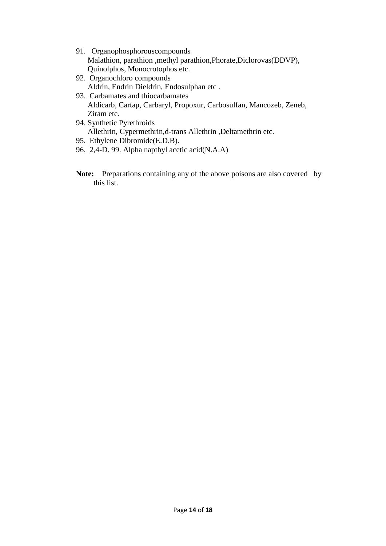- 91. Organophosphorouscompounds Malathion, parathion ,methyl parathion,Phorate,Diclorovas(DDVP), Quinolphos, Monocrotophos etc.
- 92. Organochloro compounds Aldrin, Endrin Dieldrin, Endosulphan etc .
- 93. Carbamates and thiocarbamates Aldicarb, Cartap, Carbaryl, Propoxur, Carbosulfan, Mancozeb, Zeneb, Ziram etc.
- 94. Synthetic Pyrethroids Allethrin, Cypermethrin,d-trans Allethrin ,Deltamethrin etc.
- 95. Ethylene Dibromide(E.D.B).
- 96. 2,4-D. 99. Alpha napthyl acetic acid(N.A.A)
- Note: Preparations containing any of the above poisons are also covered by this list.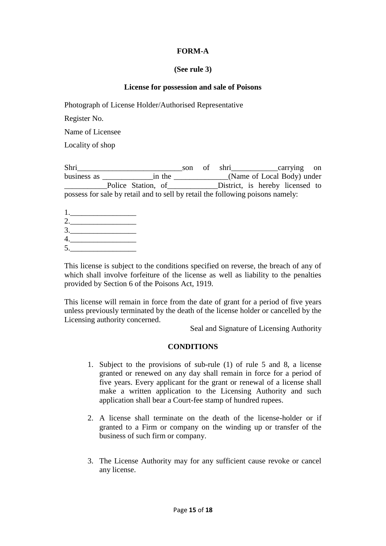# **FORM-A**

## **(See rule 3)**

# **License for possession and sale of Poisons**

Photograph of License Holder/Authorised Representative

Register No.

Name of Licensee

Locality of shop

Shri\_\_\_\_\_\_\_\_\_\_\_\_\_\_\_\_\_\_\_\_\_\_\_\_\_\_\_son of shri\_\_\_\_\_\_\_\_\_\_\_\_carrying on business as \_\_\_\_\_\_\_\_\_\_\_\_\_\_\_\_in the \_\_\_\_\_\_\_\_\_\_\_\_\_\_(Name of Local Body) under \_\_\_\_\_\_\_\_\_\_\_Police Station, of\_\_\_\_\_\_\_\_\_\_\_\_\_District, is hereby licensed to possess for sale by retail and to sell by retail the following poisons namely:

1.\_\_\_\_\_\_\_\_\_\_\_\_\_\_\_\_\_ 2.\_\_\_\_\_\_\_\_\_\_\_\_\_\_\_\_\_  $3.$ 4.\_\_\_\_\_\_\_\_\_\_\_\_\_\_\_\_\_  $5.$ 

This license is subject to the conditions specified on reverse, the breach of any of which shall involve forfeiture of the license as well as liability to the penalties provided by Section 6 of the Poisons Act, 1919.

This license will remain in force from the date of grant for a period of five years unless previously terminated by the death of the license holder or cancelled by the Licensing authority concerned.

Seal and Signature of Licensing Authority

## **CONDITIONS**

- 1. Subject to the provisions of sub-rule (1) of rule 5 and 8, a license granted or renewed on any day shall remain in force for a period of five years. Every applicant for the grant or renewal of a license shall make a written application to the Licensing Authority and such application shall bear a Court-fee stamp of hundred rupees.
- 2. A license shall terminate on the death of the license-holder or if granted to a Firm or company on the winding up or transfer of the business of such firm or company.
- 3. The License Authority may for any sufficient cause revoke or cancel any license.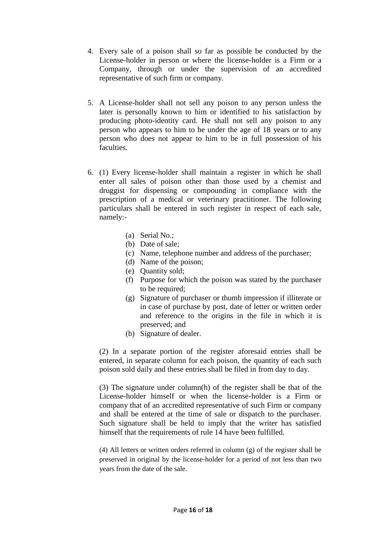- 4. Every sale of a poison shall so far as possible be conducted by the License-holder in person or where the license-holder is a Firm or a Company, through or under the supervision of an accredited representative of such firm or company.
- 5. A License-holder shall not sell any poison to any person unless the later is personally known to him or identified to his satisfaction by producing photo-identity card. He shall not sell any poison to any person who appears to him to be under the age of 18 years or to any person who does not appear to him to be in full possession of his faculties.
- 6. (1) Every license-holder shall maintain a register in which he shall enter all sales of poison other than those used by a chemist and druggist for dispensing or compounding in compliance with the prescription of a medical or veterinary practitioner. The following particulars shall be entered in such register in respect of each sale, namely:-
	- (a) Serial No.;
	- (b) Date of sale;
	- (c) Name, telephone number and address of the purchaser;
	- (d) Name of the poison;
	- (e) Quantity sold;
	- (f) Purpose for which the poison was stated by the purchaser to be required:
	- (g) Signature of purchaser or thumb impression if illiterate or in case of purchase by post, date of letter or written order and reference to the origins in the file in which it is preserved; and
	- (h) Signature of dealer.

(2) In a separate portion of the register aforesaid entries shall be entered, in separate column for each poison, the quantity of each such poison sold daily and these entries shall be filed in from day to day.

(3) The signature under column(h) of the register shall be that of the License-holder himself or when the license-holder is a Firm or company that of an accredited representative of such Firm or company and shall be entered at the time of sale or dispatch to the purchaser. Such signature shall be held to imply that the writer has satisfied himself that the requirements of rule 14 have been fulfilled.

(4) All letters or written orders referred in column (g) of the register shall be preserved in original by the license-holder for a period of not less than two years from the date of the sale.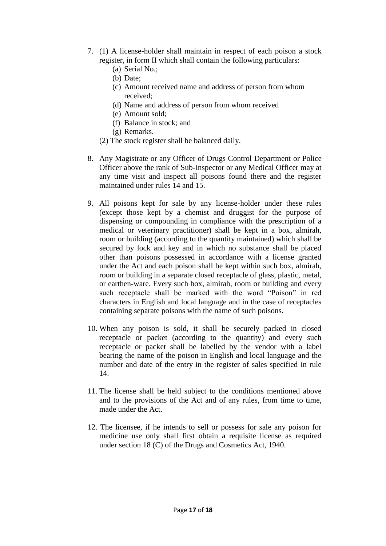- 7. (1) A license-holder shall maintain in respect of each poison a stock register, in form II which shall contain the following particulars:
	- (a) Serial No.;
	- (b) Date;
	- (c) Amount received name and address of person from whom received;
	- (d) Name and address of person from whom received
	- (e) Amount sold;
	- (f) Balance in stock; and
	- (g) Remarks.
	- (2) The stock register shall be balanced daily.
- 8. Any Magistrate or any Officer of Drugs Control Department or Police Officer above the rank of Sub-Inspector or any Medical Officer may at any time visit and inspect all poisons found there and the register maintained under rules 14 and 15.
- 9. All poisons kept for sale by any license-holder under these rules (except those kept by a chemist and druggist for the purpose of dispensing or compounding in compliance with the prescription of a medical or veterinary practitioner) shall be kept in a box, almirah, room or building (according to the quantity maintained) which shall be secured by lock and key and in which no substance shall be placed other than poisons possessed in accordance with a license granted under the Act and each poison shall be kept within such box, almirah, room or building in a separate closed receptacle of glass, plastic, metal, or earthen-ware. Every such box, almirah, room or building and every such receptacle shall be marked with the word "Poison" in red characters in English and local language and in the case of receptacles containing separate poisons with the name of such poisons.
- 10. When any poison is sold, it shall be securely packed in closed receptacle or packet (according to the quantity) and every such receptacle or packet shall be labelled by the vendor with a label bearing the name of the poison in English and local language and the number and date of the entry in the register of sales specified in rule 14.
- 11. The license shall be held subject to the conditions mentioned above and to the provisions of the Act and of any rules, from time to time, made under the Act.
- 12. The licensee, if he intends to sell or possess for sale any poison for medicine use only shall first obtain a requisite license as required under section 18 (C) of the Drugs and Cosmetics Act, 1940.